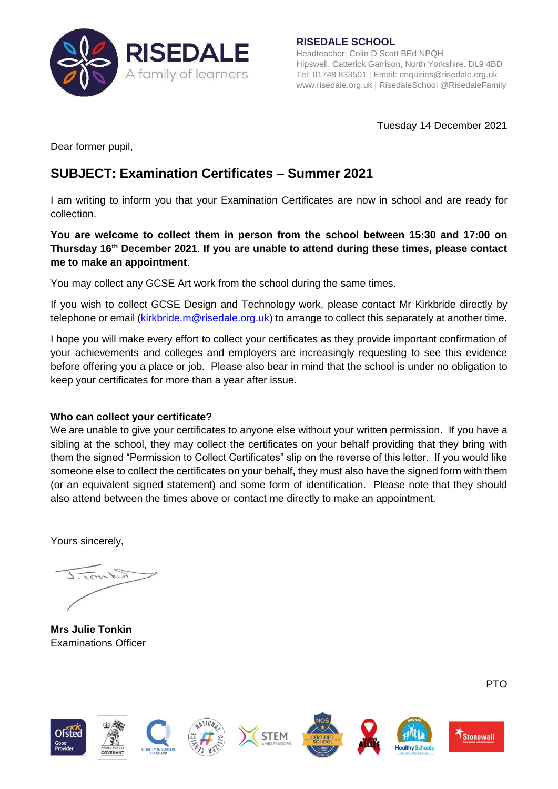

**RISEDALE SCHOOL** Headteacher: Colin D Scott BEd NPQH Hipswell, Catterick Garrison, North Yorkshire. DL9 4BD Tel: 01748 833501 | Email: [enquiries@risedale.org.uk](mailto:enquiries@risedale.org.uk) [www.risedale.org.uk](http://www.risedale.org.uk/) | RisedaleSchool @RisedaleFamily

Tuesday 14 December 2021

Dear former pupil,

## **SUBJECT: Examination Certificates – Summer 2021**

I am writing to inform you that your Examination Certificates are now in school and are ready for collection.

## **You are welcome to collect them in person from the school between 15:30 and 17:00 on Thursday 16 th December 2021**. **If you are unable to attend during these times, please contact me to make an appointment**.

You may collect any GCSE Art work from the school during the same times.

If you wish to collect GCSE Design and Technology work, please contact Mr Kirkbride directly by telephone or email [\(kirkbride.m@risedale.org.uk\)](mailto:kirkbride.m@risedale.org.uk) to arrange to collect this separately at another time.

I hope you will make every effort to collect your certificates as they provide important confirmation of your achievements and colleges and employers are increasingly requesting to see this evidence before offering you a place or job. Please also bear in mind that the school is under no obligation to keep your certificates for more than a year after issue.

## **Who can collect your certificate?**

We are unable to give your certificates to anyone else without your written permission**.** If you have a sibling at the school, they may collect the certificates on your behalf providing that they bring with them the signed "Permission to Collect Certificates" slip on the reverse of this letter. If you would like someone else to collect the certificates on your behalf, they must also have the signed form with them (or an equivalent signed statement) and some form of identification. Please note that they should also attend between the times above or contact me directly to make an appointment.

Yours sincerely,

J.Tower

**Mrs Julie Tonkin** Examinations Officer



PTO